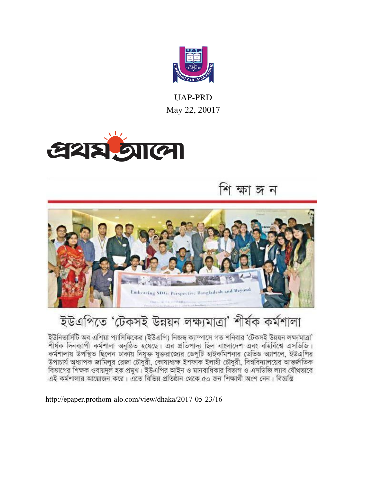

UAP-PRD May 22, 20017



শি ক্ষা জন



## ইউএপিতে 'টেকসই উন্নয়ন লক্ষ্যমাত্ৰা' শীৰ্ষক কৰ্মশালা

ইউনিভার্সিটি অব এশিয়া প্যাসিফিকের (ইউএপি) নিজস্ব ক্যাম্পাসে গত শনিবার 'টেকসই উন্নয়ন লক্ষ্যমাত্রা' শীৰ্ষক দিনব্যাপী কৰ্মশালা অনুষ্ঠিত হয়েছে। এর প্রতিপাদ্য ছিল বাংলাদেশ এবং বহির্বিশ্বে এসডিজি। কর্মশালায় উপস্থিত ছিলেন ঢাকায় নিযুক্ত যুক্তরাজ্যের ডেপুটি হাইকমিশনার ডেভিড অ্যাশলে, ইউএপির উপাচার্য অধ্যাপক জামিলুর রেজা চৌধুরী, কোষাধ্যক্ষ ইশফাঁক ইলাহী চৌধুরী, বিশ্ববিদ্যালয়ের আন্তর্জাতিক বিভাগের শিক্ষক ওবায়দুল হক প্রমুখ। ইউএপির আইন ও মানবাধিকার বিভাগ ও এসডিজি ল্যাব যৌথভাবে এই কৰ্মশালার আয়োজন করে। এতে বিভিন্ন প্রতিষ্ঠান থেকে ৫০ জন শিক্ষার্থী অংশ নেন। বিজ্ঞপ্তি

http://epaper.prothom-alo.com/view/dhaka/2017-05-23/16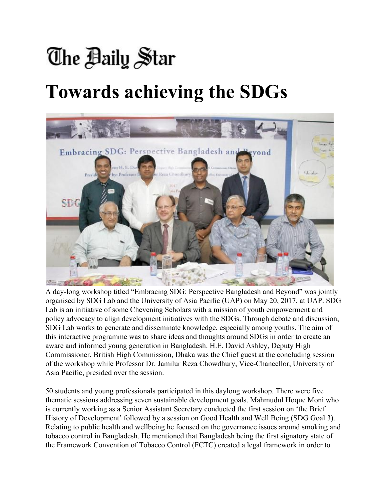# The Baily Star **Towards achieving the SDGs**



A day-long workshop titled "Embracing SDG: Perspective Bangladesh and Beyond" was jointly organised by SDG Lab and the University of Asia Pacific (UAP) on May 20, 2017, at UAP. SDG Lab is an initiative of some Chevening Scholars with a mission of youth empowerment and policy advocacy to align development initiatives with the SDGs. Through debate and discussion, SDG Lab works to generate and disseminate knowledge, especially among youths. The aim of this interactive programme was to share ideas and thoughts around SDGs in order to create an aware and informed young generation in Bangladesh. H.E. David Ashley, Deputy High Commissioner, British High Commission, Dhaka was the Chief guest at the concluding session of the workshop while Professor Dr. Jamilur Reza Chowdhury, Vice-Chancellor, University of Asia Pacific, presided over the session.

50 students and young professionals participated in this daylong workshop. There were five thematic sessions addressing seven sustainable development goals. Mahmudul Hoque Moni who is currently working as a Senior Assistant Secretary conducted the first session on 'the Brief History of Development' followed by a session on Good Health and Well Being (SDG Goal 3). Relating to public health and wellbeing he focused on the governance issues around smoking and tobacco control in Bangladesh. He mentioned that Bangladesh being the first signatory state of the Framework Convention of Tobacco Control (FCTC) created a legal framework in order to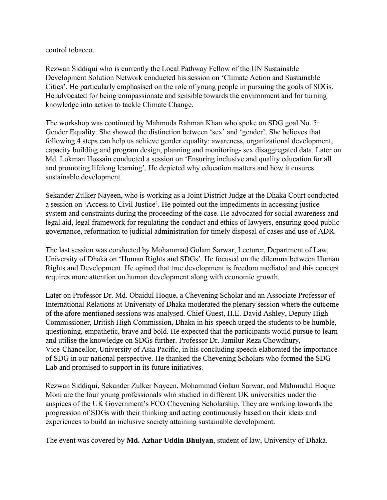control tobacco.

Rezwan Siddiqui who is currently the Local Pathway Fellow of the UN Sustainable Development Solution Network conducted his session on 'Climate Action and Sustainable Cities'. He particularly emphasised on the role of young people in pursuing the goals of SDGs. He advocated for being compassionate and sensible towards the environment and for turning knowledge into action to tackle Climate Change.

The workshop was continued by Mahmuda Rahman Khan who spoke on SDG goal No. 5: Gender Equality. She showed the distinction between 'sex' and 'gender'. She believes that following 4 steps can help us achieve gender equality: awareness, organizational development, capacity building and program design, planning and monitoring- sex disaggregated data. Later on Md. Lokman Hossain conducted a session on 'Ensuring inclusive and quality education for all and promoting lifelong learning'. He depicted why education matters and how it ensures sustainable development.

Sekander Zulker Nayeen, who is working as a Joint District Judge at the Dhaka Court conducted a session on 'Access to Civil Justice'. He pointed out the impediments in accessing justice system and constraints during the proceeding of the case. He advocated for social awareness and legal aid, legal framework for regulating the conduct and ethics of lawyers, ensuring good public governance, reformation to judicial administration for timely disposal of cases and use of ADR.

The last session was conducted by Mohammad Golam Sarwar, Lecturer, Department of Law, University of Dhaka on 'Human Rights and SDGs'. He focused on the dilemma between Human Rights and Development. He opined that true development is freedom mediated and this concept requires more attention on human development along with economic growth.

Later on Professor Dr. Md. Obaidul Hoque, a Chevening Scholar and an Associate Professor of International Relations at University of Dhaka moderated the plenary session where the outcome of the afore mentioned sessions was analysed. Chief Guest, H.E. David Ashley, Deputy High Commissioner, British High Commission, Dhaka in his speech urged the students to be humble, questioning, empathetic, brave and bold. He expected that the participants would pursue to learn and utilise the knowledge on SDGs further. Professor Dr. Jamilur Reza Chowdhury, Vice-Chancellor, University of Asia Pacific, in his concluding speech elaborated the importance of SDG in our national perspective. He thanked the Chevening Scholars who formed the SDG Lab and promised to support in its future initiatives.

Rezwan Siddiqui, Sekander Zulker Nayeen, Mohammad Golam Sarwar, and Mahmudul Hoque Moni are the four young professionals who studied in different UK universities under the auspices of the UK Government's FCO Chevening Scholarship. They are working towards the progression of SDGs with their thinking and acting continuously based on their ideas and experiences to build an inclusive society attaining sustainable development.

The event was covered by **Md. Azhar Uddin Bhuiyan**, student of law, University of Dhaka.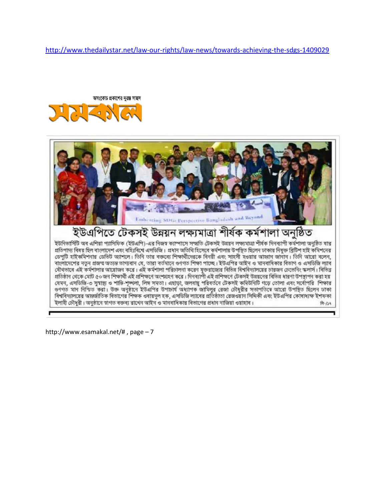<http://www.thedailystar.net/law-our-rights/law-news/towards-achieving-the-sdgs-1409029>





ৰাংলাদেশের নতুন প্রজন্ম অত্যন্ত তাগ্যবান যে, তারা বর্তমানে ওণগত শিক্ষা পাচ্ছে। ইউএপির অইিন ও মানবাধিকার বিতাগ ও এসডিজি ল্যাব যৌথতাৰে এই কৰ্মশালাৱ আৱোজন করে। এই কৰ্মশালা পৱিচালনা করেন যুক্তরাজ্যের বিভিন্ন বিশ্ববিদ্যালয়ের চারজন চেজেনিং স্কলার্স। বিভিন্ন প্ৰতিষ্ঠান থেকে মোট ৫০ জন শিক্ষাৰ্থী এই প্ৰশিক্ষণে অংশগ্ৰহণ কৱে। দিনব্যাপী এই প্ৰশিক্ষণে টেকসই উন্নয়নের বিভিন্ন ধারণা উপস্থাপন করা হয় যেমন, এসডিজি-৩ সুস্বাস্থ্য ও শাস্তি-শৃঙ্গলা, লিঙ্গ সমতা। এছাড়া, জলবায়ু পরিবর্তনে টেকসই কমিউনিটি গড়ে তোলা এবং সর্বোপরি শিক্ষার ওণগত মান নিশ্চিত করা। উজ অনুষ্ঠানে ইউএপির উপাচার্য অধ্যাপক জামিলুর রেজা চৌধুরীর সভাপতিষে আরো উপস্থিত ছিলেন ঢাকা বিশ্ববিদ্যালয়ের অন্তর্জাতিক বিভাগের শিক্ষক ওবায়দূল হক, এসডিজি ল্যাবের প্রতিষ্ঠাতা রেজওয়ান সিদ্দিকী এবং ইউএপির কোষাধ্যক্ষ ইশফকা ইলাহী চৌধুরী। অনুষ্ঠানে স্বাগত বক্তব্য রাথেন অহিন ও মানবাধিকার বিভাগের প্রধান নাজিয়া ওয়াহাব।  $9 - 129$ 

http://www.esamakal.net/# , page – 7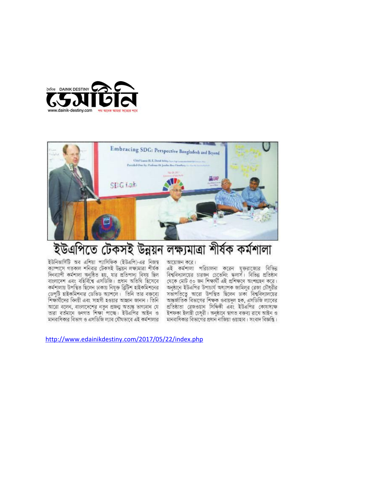



#### ইউএপিতে টেকসই উন্নয়ন লক্ষ্যমাত্ৰা শীৰ্ষক কৰ্মশালা

ইউনিভার্সিটি অব এশিয়া প্যাসিফিক (ইউএপি)-এর নিজস্ব ক্যান্দাসে গতকাল শনিবার টেকসই উন্নয়ন লক্ষ্যমাত্রা শীর্ষক দিনব্যাপী কৰ্মশালা অনুষ্ঠিত হয়, যার প্রতিপাদ্য বিষয় ছিল বাংলাদেশ এবং বহির্বিশ্বে এসডিজি। প্রধান অতিথি হিসেবে কৰ্মশালায় উপস্থিত ছিলেন ঢাকায় নিযুক্ত ব্ৰিটিশ হাইকমিশনের ডেপুটি হাইকমিশনার ডেভিড অ্যাশলে। তিনি তার বক্তব্যে শিক্ষার্থীদের বিনয়ী এবং সাহসী হওয়ার আহ্বান জানান। তিনি আরো বলেন, বাংলাদেশের নতন প্রজন্ম অত্যন্ত ভাগ্যবান যে তারা বর্তমানে ওণগত শিক্ষা পাছে। ইউএপির আইন ও মানবাধিকার বিভাগ ও এসডিজি ল্যাব যৌথভাবে এই কর্মশালার

আয়োজন করে। এই কর্মশালা পরিচালনা করেন যুক্তরাজ্যের বিভিন্ন বিশ্ববিদ্যালয়ের চারজন চেভেনিং স্কলাস। বিভিন্ন প্রতিষ্ঠান থেকে মোট ৫০ জন শিক্ষাৰ্থী এই প্ৰশিক্ষণে অংশগ্ৰহণ করে। অনুষ্ঠানে ইউএপির উপাচার্য অধ্যাপক জামিলুর রেজা চৌধুরীর সভাপতিতে আরো উপস্থিত ছিলেন ঢাকা বিশ্ববিদ্যালয়ের আন্তর্জাতিক বিভাগের শিক্ষক ওবায়দল হক, এসডিজি ল্যাবের প্ৰতিষ্ঠাতা ৱেজওয়ান সিদ্ধিকী এবং ইউএপির কোষাধ্যক ইশফকা ইলাহী চেধুৱী। অনুষ্ঠানে স্বাগত বক্তব্য রাখে আইন ও মানবাধিকার বিভাগের প্রধান নাজিয়া ওয়াহাব। সংবাদ বিজ্ঞপ্তি।

<http://www.edainikdestiny.com/2017/05/22/index.php>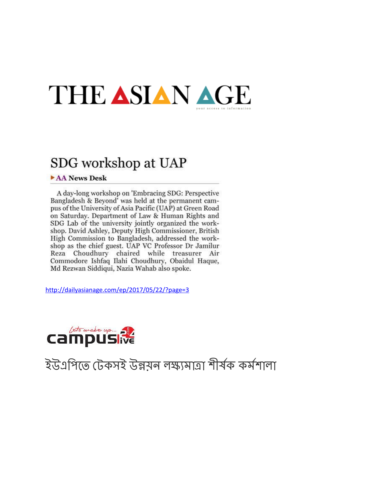## THE ASIAN AGE

### SDG workshop at UAP

#### AA News Desk

A day-long workshop on 'Embracing SDG: Perspective Bangladesh & Beyond' was held at the permanent campus of the University of Asia Pacific (UAP) at Green Road on Saturday. Department of Law & Human Rights and SDG Lab of the university jointly organized the workshop. David Ashley, Deputy High Commissioner, British High Commission to Bangladesh, addressed the workshop as the chief guest. UAP VC Professor Dr Jamilur Reza Choudhury chaired while treasurer Air Commodore Ishfaq Ilahi Choudhury, Obaidul Haque, Md Rezwan Siddiqui, Nazia Wahab also spoke.

<http://dailyasianage.com/ep/2017/05/22/?page=3>



## ইউএপিতে টেকসই উন্নয়ন লক্ষ্যমাত্ৰা শীৰ্ষক কৰ্মশালা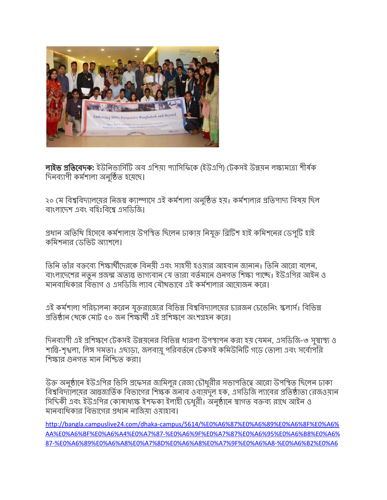

<mark>লাইভ প্ৰতিবেদক:</mark> ইউনিভাৰ্সিটি অব এশিয়া প্যাসিফিকে (ইউএপি) টেকসই উন্নয়ন লক্ষ্যমাত্ৰা শীৰ্ষক দিনব্যাপী কৰ্মশালা অনুষ্ঠিত হয়েছে।

২০ মে বিশ্ববিদ্যালয়ের নিজস্ব ক্যাম্পাসে এই কর্মশালা অনুষ্ঠিত হয়। কর্মশালার প্রতিপাদ্য বিষয় ছিল বাংলাদেশ এবং বহিঃবিশ্বে এসডিজি।

প্রধান অতিথি হিসেবে কর্মশালায় উপস্থিত ছিলেন ঢাকায় নিযুক্ত ব্রিটিশ হাই কমিশনের ডেপুটি হাই কিমশনার ডিভট অাশেল।

তিনি তাঁর বক্তব্যে শিক্ষার্থীদেরকে বিনয়ী এবং সাহসী হওয়ার আহবান জানান। তিনি আরো বলেন, বাংলাদেশের নতুন প্রজন্ম অত্যন্ত ভাগ্যবান যে তারা বর্তমানে গুনগত শিক্ষা পাচ্ছে। ইউএপির আইন ও মানবাধিকার বিভাগ ও এসডিজি ল্যাব যৌথভাবে এই কর্মশালার আয়োজন করে।

এই কর্মশালা পরিচালনা করেন যুক্তরাজ্যের বিভিন্ন বিশ্ববিদ্যালয়ের চারজন চেভেনিং স্কলার্স। বিভিন্ন প্রতিষ্ঠান থেকে মোট ৫০ জন শিক্ষার্থী এই পশিক্ষণে অংশগহন করে।

দিনব্যাপী এই প্রশিক্ষণে টেকসই উন্নয়নের বিভিন্ন ধারণা উপস্থাপন করা হয় যেমন, এসডিজি-৩ সম্বাস্থ্য ও শান্তি-শৃখুলা, লিঙ্গ সমতা। এছাডা, জলবায়ু পরিবর্তনে টেকসই কমিউনিটি গড়ে তোলা এবং সর্বোপরি শিক্ষার গুনগত মান নিশ্চিত করা।

উক্ত অনুষ্ঠানে ইউএপির ভিসি প্রফেসর জামিলুর রেজা চৌধুরীর সভাপতিত্বে আরো উপস্থিত ছিলেন ঢাকা বিশ্ববিদ্যালয়ের আন্তজার্তিক বিভাগের শিক্ষক জনাব ওবায়দুল হক, এসডিজি ল্যাবের প্রতিষ্ঠাতা রেজওয়ান সিদিকী এবং ইউএপির কোষাধ্যক্ষ ইশফকা ইলাহী চেধুরী। অনুষ্ঠানে স্বাগত বক্তব্য রাখে আইন ও মানবাধিকার বিভাগের প্রধান নাজিয়া ওয়াহাব।

[http://bangla.campuslive24.com/dhaka-campus/5614/%E0%A6%87%E0%A6%89%E0%A6%8F%E0%A6%](http://bangla.campuslive24.com/dhaka-campus/5614/%E0%A6%87%E0%A6%89%E0%A6%8F%E0%A6%AA%E0%A6%BF%E0%A6%A4%E0%A7%87-%E0%A6%9F%E0%A7%87%E0%A6%95%E0%A6%B8%E0%A6%87-%E0%A6%89%E0%A6%A8%E0%A7%8D%E0%A6%A8%E0%A7%9F%E0%A6%A8-%E0%A6%B2%E0%A6%95%E0%A7%8D%E0%A6%B7%E0%A7%8D%E0%A6%AF%E0%A6%AE%E0%A6%BE%E0%A6%A4%E0%A7%8D%E0%A6%B0%E0%A6%BE-%E0%A6%B6%E0%A7%80%E0%A6%B0%E0%A7%8D%E0%A6%B7%E0%A6%95-%E0%A6%95%E0%A6%B0%E0%A7%8D%E0%A6%AE%E0%A6%B6%E0%A6%BE%E0%A6%B2%E0%A6%BE) [AA%E0%A6%BF%E0%A6%A4%E0%A7%87-%E0%A6%9F%E0%A7%87%E0%A6%95%E0%A6%B8%E0%A6%](http://bangla.campuslive24.com/dhaka-campus/5614/%E0%A6%87%E0%A6%89%E0%A6%8F%E0%A6%AA%E0%A6%BF%E0%A6%A4%E0%A7%87-%E0%A6%9F%E0%A7%87%E0%A6%95%E0%A6%B8%E0%A6%87-%E0%A6%89%E0%A6%A8%E0%A7%8D%E0%A6%A8%E0%A7%9F%E0%A6%A8-%E0%A6%B2%E0%A6%95%E0%A7%8D%E0%A6%B7%E0%A7%8D%E0%A6%AF%E0%A6%AE%E0%A6%BE%E0%A6%A4%E0%A7%8D%E0%A6%B0%E0%A6%BE-%E0%A6%B6%E0%A7%80%E0%A6%B0%E0%A7%8D%E0%A6%B7%E0%A6%95-%E0%A6%95%E0%A6%B0%E0%A7%8D%E0%A6%AE%E0%A6%B6%E0%A6%BE%E0%A6%B2%E0%A6%BE) [87-%E0%A6%89%E0%A6%A8%E0%A7%8D%E0%A6%A8%E0%A7%9F%E0%A6%A8-%E0%A6%B2%E0%A6](http://bangla.campuslive24.com/dhaka-campus/5614/%E0%A6%87%E0%A6%89%E0%A6%8F%E0%A6%AA%E0%A6%BF%E0%A6%A4%E0%A7%87-%E0%A6%9F%E0%A7%87%E0%A6%95%E0%A6%B8%E0%A6%87-%E0%A6%89%E0%A6%A8%E0%A7%8D%E0%A6%A8%E0%A7%9F%E0%A6%A8-%E0%A6%B2%E0%A6%95%E0%A7%8D%E0%A6%B7%E0%A7%8D%E0%A6%AF%E0%A6%AE%E0%A6%BE%E0%A6%A4%E0%A7%8D%E0%A6%B0%E0%A6%BE-%E0%A6%B6%E0%A7%80%E0%A6%B0%E0%A7%8D%E0%A6%B7%E0%A6%95-%E0%A6%95%E0%A6%B0%E0%A7%8D%E0%A6%AE%E0%A6%B6%E0%A6%BE%E0%A6%B2%E0%A6%BE)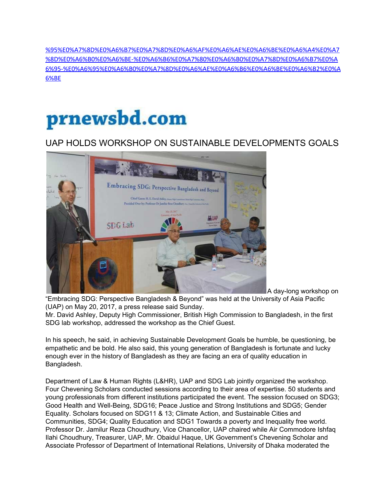[%95%E0%A7%8D%E0%A6%B7%E0%A7%8D%E0%A6%AF%E0%A6%AE%E0%A6%BE%E0%A6%A4%E0%A7](http://bangla.campuslive24.com/dhaka-campus/5614/%E0%A6%87%E0%A6%89%E0%A6%8F%E0%A6%AA%E0%A6%BF%E0%A6%A4%E0%A7%87-%E0%A6%9F%E0%A7%87%E0%A6%95%E0%A6%B8%E0%A6%87-%E0%A6%89%E0%A6%A8%E0%A7%8D%E0%A6%A8%E0%A7%9F%E0%A6%A8-%E0%A6%B2%E0%A6%95%E0%A7%8D%E0%A6%B7%E0%A7%8D%E0%A6%AF%E0%A6%AE%E0%A6%BE%E0%A6%A4%E0%A7%8D%E0%A6%B0%E0%A6%BE-%E0%A6%B6%E0%A7%80%E0%A6%B0%E0%A7%8D%E0%A6%B7%E0%A6%95-%E0%A6%95%E0%A6%B0%E0%A7%8D%E0%A6%AE%E0%A6%B6%E0%A6%BE%E0%A6%B2%E0%A6%BE) [%8D%E0%A6%B0%E0%A6%BE-%E0%A6%B6%E0%A7%80%E0%A6%B0%E0%A7%8D%E0%A6%B7%E0%A](http://bangla.campuslive24.com/dhaka-campus/5614/%E0%A6%87%E0%A6%89%E0%A6%8F%E0%A6%AA%E0%A6%BF%E0%A6%A4%E0%A7%87-%E0%A6%9F%E0%A7%87%E0%A6%95%E0%A6%B8%E0%A6%87-%E0%A6%89%E0%A6%A8%E0%A7%8D%E0%A6%A8%E0%A7%9F%E0%A6%A8-%E0%A6%B2%E0%A6%95%E0%A7%8D%E0%A6%B7%E0%A7%8D%E0%A6%AF%E0%A6%AE%E0%A6%BE%E0%A6%A4%E0%A7%8D%E0%A6%B0%E0%A6%BE-%E0%A6%B6%E0%A7%80%E0%A6%B0%E0%A7%8D%E0%A6%B7%E0%A6%95-%E0%A6%95%E0%A6%B0%E0%A7%8D%E0%A6%AE%E0%A6%B6%E0%A6%BE%E0%A6%B2%E0%A6%BE) [6%95-%E0%A6%95%E0%A6%B0%E0%A7%8D%E0%A6%AE%E0%A6%B6%E0%A6%BE%E0%A6%B2%E0%A](http://bangla.campuslive24.com/dhaka-campus/5614/%E0%A6%87%E0%A6%89%E0%A6%8F%E0%A6%AA%E0%A6%BF%E0%A6%A4%E0%A7%87-%E0%A6%9F%E0%A7%87%E0%A6%95%E0%A6%B8%E0%A6%87-%E0%A6%89%E0%A6%A8%E0%A7%8D%E0%A6%A8%E0%A7%9F%E0%A6%A8-%E0%A6%B2%E0%A6%95%E0%A7%8D%E0%A6%B7%E0%A7%8D%E0%A6%AF%E0%A6%AE%E0%A6%BE%E0%A6%A4%E0%A7%8D%E0%A6%B0%E0%A6%BE-%E0%A6%B6%E0%A7%80%E0%A6%B0%E0%A7%8D%E0%A6%B7%E0%A6%95-%E0%A6%95%E0%A6%B0%E0%A7%8D%E0%A6%AE%E0%A6%B6%E0%A6%BE%E0%A6%B2%E0%A6%BE) [6%BE](http://bangla.campuslive24.com/dhaka-campus/5614/%E0%A6%87%E0%A6%89%E0%A6%8F%E0%A6%AA%E0%A6%BF%E0%A6%A4%E0%A7%87-%E0%A6%9F%E0%A7%87%E0%A6%95%E0%A6%B8%E0%A6%87-%E0%A6%89%E0%A6%A8%E0%A7%8D%E0%A6%A8%E0%A7%9F%E0%A6%A8-%E0%A6%B2%E0%A6%95%E0%A7%8D%E0%A6%B7%E0%A7%8D%E0%A6%AF%E0%A6%AE%E0%A6%BE%E0%A6%A4%E0%A7%8D%E0%A6%B0%E0%A6%BE-%E0%A6%B6%E0%A7%80%E0%A6%B0%E0%A7%8D%E0%A6%B7%E0%A6%95-%E0%A6%95%E0%A6%B0%E0%A7%8D%E0%A6%AE%E0%A6%B6%E0%A6%BE%E0%A6%B2%E0%A6%BE)

## prnewsbd.com

#### UAP HOLDS WORKSHOP ON SUSTAINABLE DEVELOPMENTS GOALS



A day-long workshop on

"Embracing SDG: Perspective Bangladesh & Beyond" was held at the University of Asia Pacific (UAP) on May 20, 2017, a press release said Sunday.

Mr. David Ashley, Deputy High Commissioner, British High Commission to Bangladesh, in the first SDG lab workshop, addressed the workshop as the Chief Guest.

In his speech, he said, in achieving Sustainable Development Goals be humble, be questioning, be empathetic and be bold. He also said, this young generation of Bangladesh is fortunate and lucky enough ever in the history of Bangladesh as they are facing an era of quality education in Bangladesh.

Department of Law & Human Rights (L&HR), UAP and SDG Lab jointly organized the workshop. Four Chevening Scholars conducted sessions according to their area of expertise. 50 students and young professionals from different institutions participated the event. The session focused on SDG3; Good Health and Well-Being, SDG16; Peace Justice and Strong Institutions and SDG5; Gender Equality. Scholars focused on SDG11 & 13; Climate Action, and Sustainable Cities and Communities, SDG4; Quality Education and SDG1 Towards a poverty and Inequality free world. Professor Dr. Jamilur Reza Choudhury, Vice Chancellor, UAP chaired while Air Commodore Ishfaq Ilahi Choudhury, Treasurer, UAP, Mr. Obaidul Haque, UK Government's Chevening Scholar and Associate Professor of Department of International Relations, University of Dhaka moderated the